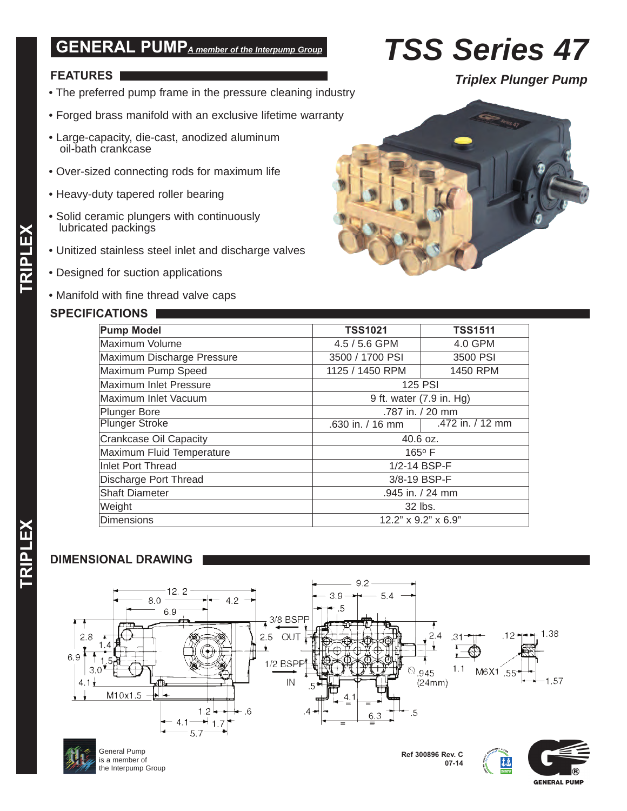## **GENERAL PUMP***A member of the Interpump Group*

# **FEATURES**

- The preferred pump frame in the pressure cleaning industry
- Forged brass manifold with an exclusive lifetime warranty
- Large-capacity, die-cast, anodized aluminum oil-bath crankcase
- Over-sized connecting rods for maximum life
- Heavy-duty tapered roller bearing
- Solid ceramic plungers with continuously lubricated packings
- Unitized stainless steel inlet and discharge valves
- Designed for suction applications
- Manifold with fine thread valve caps

### **SPECIFICATIONS**

| <b>Pump Model</b>             | <b>TSS1021</b>               | <b>TSS1511</b>   |  |  |  |
|-------------------------------|------------------------------|------------------|--|--|--|
| Maximum Volume                | 4.5 / 5.6 GPM                | 4.0 GPM          |  |  |  |
| Maximum Discharge Pressure    | 3500 / 1700 PSI              | 3500 PSI         |  |  |  |
| Maximum Pump Speed            | 1125 / 1450 RPM              | 1450 RPM         |  |  |  |
| Maximum Inlet Pressure        | <b>125 PSI</b>               |                  |  |  |  |
| Maximum Inlet Vacuum          | 9 ft. water (7.9 in. Hg)     |                  |  |  |  |
| <b>Plunger Bore</b>           | .787 in. / 20 mm             |                  |  |  |  |
| <b>Plunger Stroke</b>         | .630 in. / 16 mm             | .472 in. / 12 mm |  |  |  |
| <b>Crankcase Oil Capacity</b> | 40.6 oz.                     |                  |  |  |  |
| Maximum Fluid Temperature     | 165°F                        |                  |  |  |  |
| <b>Inlet Port Thread</b>      | 1/2-14 BSP-F                 |                  |  |  |  |
| Discharge Port Thread         | 3/8-19 BSP-F                 |                  |  |  |  |
| <b>Shaft Diameter</b>         | .945 in. / 24 mm             |                  |  |  |  |
| Weight                        | 32 lbs.                      |                  |  |  |  |
| <b>Dimensions</b>             | $12.2$ " x $9.2$ " x $6.9$ " |                  |  |  |  |

### **DIMENSIONAL DRAWING**





General Pump is a member of the Interpump Group

**Ref 300896 Rev. C 07-14**





*Triplex Plunger Pump*